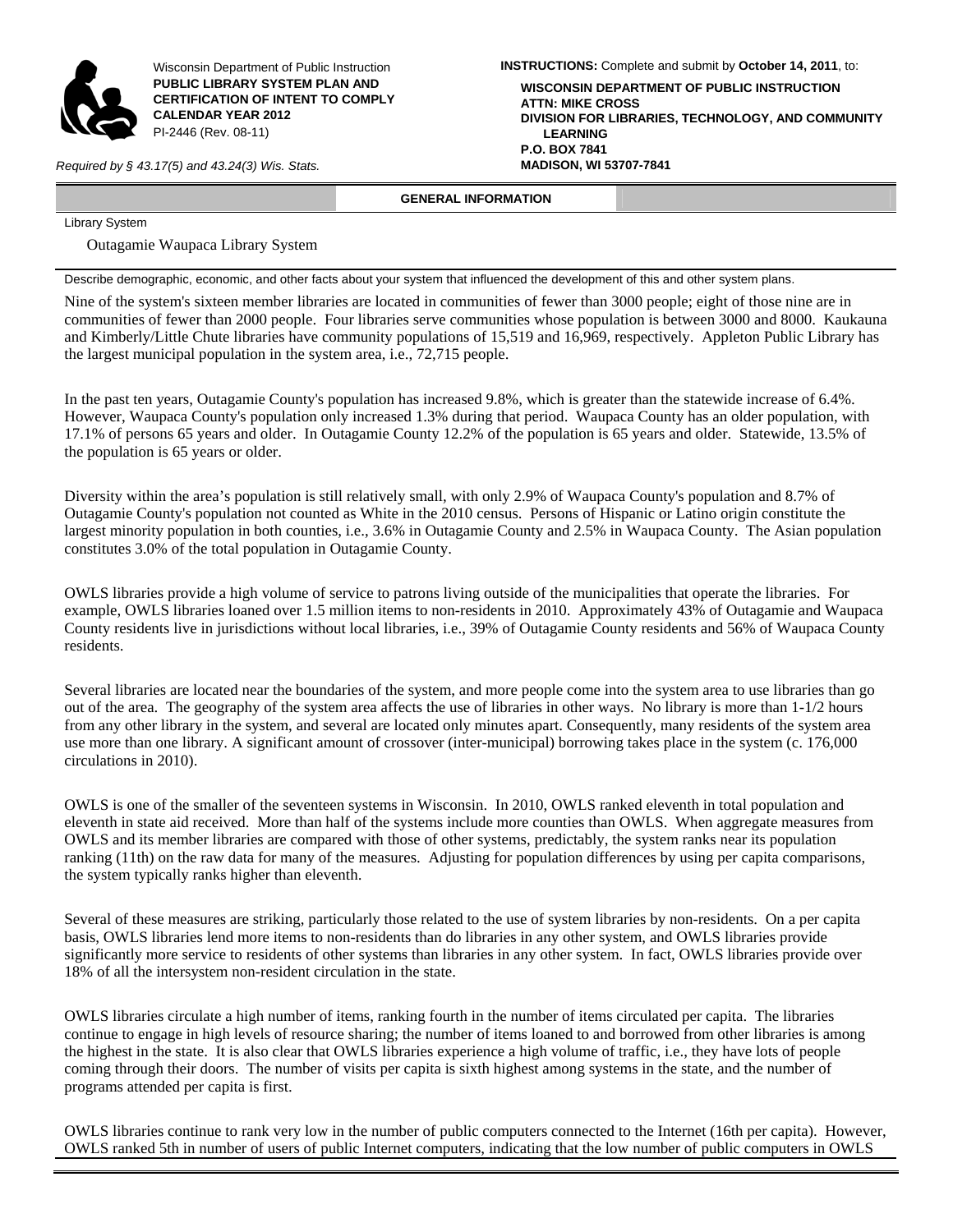

Wisconsin Department of Public Instruction **PUBLIC LIBRARY SYSTEM PLAN AND CERTIFICATION OF INTENT TO COMPLY CALENDAR YEAR 2012**  PI-2446 (Rev. 08-11)

*Required by § 43.17(5) and 43.24(3) Wis. Stats.* **MADISON, WI 53707-7841**

**INSTRUCTIONS:** Complete and submit by **October 14, 2011**, to: **WISCONSIN DEPARTMENT OF PUBLIC INSTRUCTION ATTN: MIKE CROSS DIVISION FOR LIBRARIES, TECHNOLOGY, AND COMMUNITY LEARNING P.O. BOX 7841**

# **GENERAL INFORMATION**

Library System

Outagamie Waupaca Library System

Describe demographic, economic, and other facts about your system that influenced the development of this and other system plans.

Nine of the system's sixteen member libraries are located in communities of fewer than 3000 people; eight of those nine are in communities of fewer than 2000 people. Four libraries serve communities whose population is between 3000 and 8000. Kaukauna and Kimberly/Little Chute libraries have community populations of 15,519 and 16,969, respectively. Appleton Public Library has the largest municipal population in the system area, i.e., 72,715 people.

In the past ten years, Outagamie County's population has increased 9.8%, which is greater than the statewide increase of 6.4%. However, Waupaca County's population only increased 1.3% during that period. Waupaca County has an older population, with 17.1% of persons 65 years and older. In Outagamie County 12.2% of the population is 65 years and older. Statewide, 13.5% of the population is 65 years or older.

Diversity within the area's population is still relatively small, with only 2.9% of Waupaca County's population and 8.7% of Outagamie County's population not counted as White in the 2010 census. Persons of Hispanic or Latino origin constitute the largest minority population in both counties, i.e., 3.6% in Outagamie County and 2.5% in Waupaca County. The Asian population constitutes 3.0% of the total population in Outagamie County.

OWLS libraries provide a high volume of service to patrons living outside of the municipalities that operate the libraries. For example, OWLS libraries loaned over 1.5 million items to non-residents in 2010. Approximately 43% of Outagamie and Waupaca County residents live in jurisdictions without local libraries, i.e., 39% of Outagamie County residents and 56% of Waupaca County residents.

Several libraries are located near the boundaries of the system, and more people come into the system area to use libraries than go out of the area. The geography of the system area affects the use of libraries in other ways. No library is more than 1-1/2 hours from any other library in the system, and several are located only minutes apart. Consequently, many residents of the system area use more than one library. A significant amount of crossover (inter-municipal) borrowing takes place in the system (c. 176,000 circulations in 2010).

OWLS is one of the smaller of the seventeen systems in Wisconsin. In 2010, OWLS ranked eleventh in total population and eleventh in state aid received. More than half of the systems include more counties than OWLS. When aggregate measures from OWLS and its member libraries are compared with those of other systems, predictably, the system ranks near its population ranking (11th) on the raw data for many of the measures. Adjusting for population differences by using per capita comparisons, the system typically ranks higher than eleventh.

Several of these measures are striking, particularly those related to the use of system libraries by non-residents. On a per capita basis, OWLS libraries lend more items to non-residents than do libraries in any other system, and OWLS libraries provide significantly more service to residents of other systems than libraries in any other system. In fact, OWLS libraries provide over 18% of all the intersystem non-resident circulation in the state.

OWLS libraries circulate a high number of items, ranking fourth in the number of items circulated per capita. The libraries continue to engage in high levels of resource sharing; the number of items loaned to and borrowed from other libraries is among the highest in the state. It is also clear that OWLS libraries experience a high volume of traffic, i.e., they have lots of people coming through their doors. The number of visits per capita is sixth highest among systems in the state, and the number of programs attended per capita is first.

OWLS libraries continue to rank very low in the number of public computers connected to the Internet (16th per capita). However, OWLS ranked 5th in number of users of public Internet computers, indicating that the low number of public computers in OWLS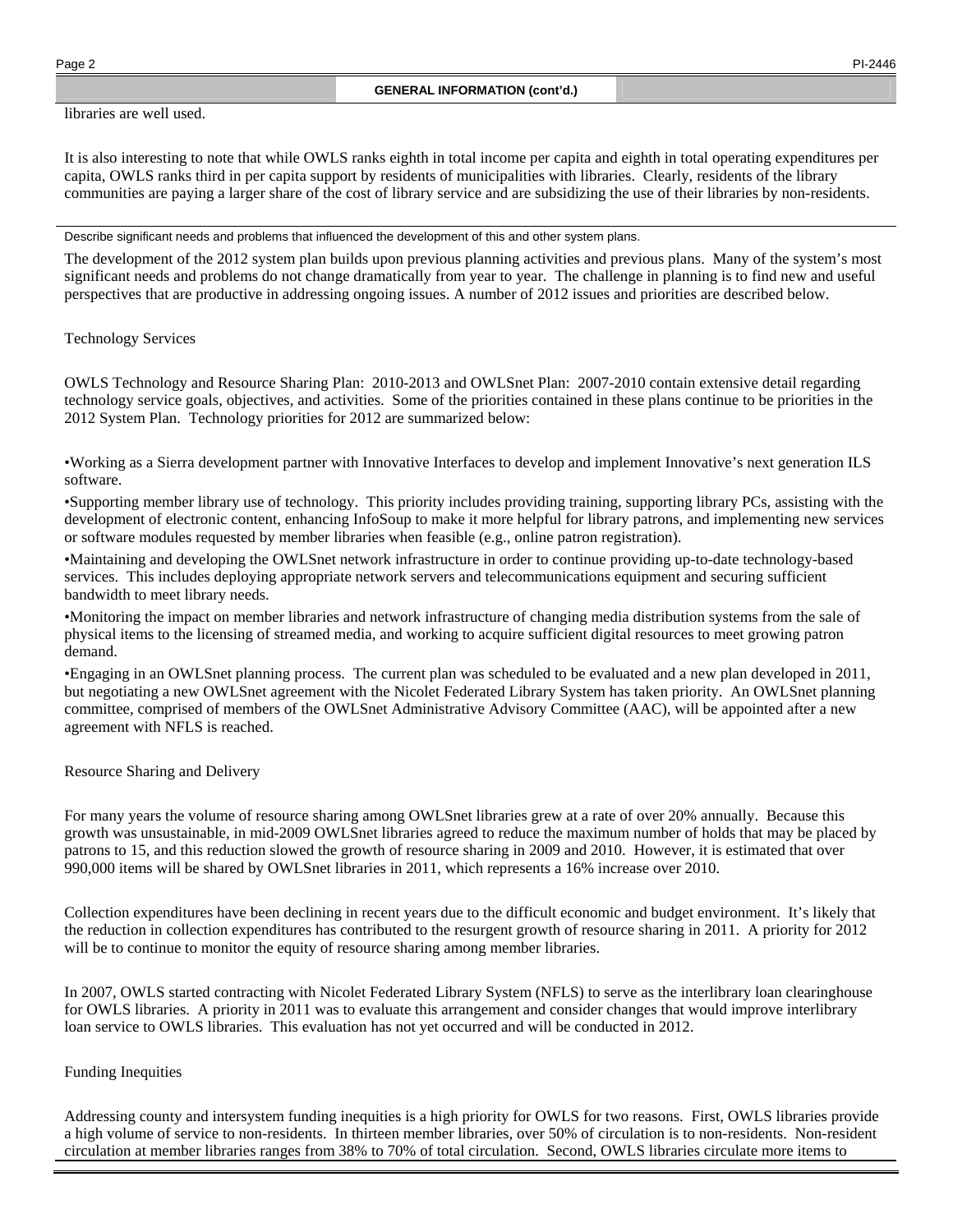libraries are well used.

It is also interesting to note that while OWLS ranks eighth in total income per capita and eighth in total operating expenditures per capita, OWLS ranks third in per capita support by residents of municipalities with libraries. Clearly, residents of the library communities are paying a larger share of the cost of library service and are subsidizing the use of their libraries by non-residents.

# Describe significant needs and problems that influenced the development of this and other system plans.

The development of the 2012 system plan builds upon previous planning activities and previous plans. Many of the system's most significant needs and problems do not change dramatically from year to year. The challenge in planning is to find new and useful perspectives that are productive in addressing ongoing issues. A number of 2012 issues and priorities are described below.

# Technology Services

OWLS Technology and Resource Sharing Plan: 2010-2013 and OWLSnet Plan: 2007-2010 contain extensive detail regarding technology service goals, objectives, and activities. Some of the priorities contained in these plans continue to be priorities in the 2012 System Plan. Technology priorities for 2012 are summarized below:

•Working as a Sierra development partner with Innovative Interfaces to develop and implement Innovative's next generation ILS software.

•Supporting member library use of technology. This priority includes providing training, supporting library PCs, assisting with the development of electronic content, enhancing InfoSoup to make it more helpful for library patrons, and implementing new services or software modules requested by member libraries when feasible (e.g., online patron registration).

•Maintaining and developing the OWLSnet network infrastructure in order to continue providing up-to-date technology-based services. This includes deploying appropriate network servers and telecommunications equipment and securing sufficient bandwidth to meet library needs.

•Monitoring the impact on member libraries and network infrastructure of changing media distribution systems from the sale of physical items to the licensing of streamed media, and working to acquire sufficient digital resources to meet growing patron demand.

•Engaging in an OWLSnet planning process. The current plan was scheduled to be evaluated and a new plan developed in 2011, but negotiating a new OWLSnet agreement with the Nicolet Federated Library System has taken priority. An OWLSnet planning committee, comprised of members of the OWLSnet Administrative Advisory Committee (AAC), will be appointed after a new agreement with NFLS is reached.

Resource Sharing and Delivery

For many years the volume of resource sharing among OWLSnet libraries grew at a rate of over 20% annually. Because this growth was unsustainable, in mid-2009 OWLSnet libraries agreed to reduce the maximum number of holds that may be placed by patrons to 15, and this reduction slowed the growth of resource sharing in 2009 and 2010. However, it is estimated that over 990,000 items will be shared by OWLSnet libraries in 2011, which represents a 16% increase over 2010.

Collection expenditures have been declining in recent years due to the difficult economic and budget environment. It's likely that the reduction in collection expenditures has contributed to the resurgent growth of resource sharing in 2011. A priority for 2012 will be to continue to monitor the equity of resource sharing among member libraries.

In 2007, OWLS started contracting with Nicolet Federated Library System (NFLS) to serve as the interlibrary loan clearinghouse for OWLS libraries. A priority in 2011 was to evaluate this arrangement and consider changes that would improve interlibrary loan service to OWLS libraries. This evaluation has not yet occurred and will be conducted in 2012.

# Funding Inequities

Addressing county and intersystem funding inequities is a high priority for OWLS for two reasons. First, OWLS libraries provide a high volume of service to non-residents. In thirteen member libraries, over 50% of circulation is to non-residents. Non-resident circulation at member libraries ranges from 38% to 70% of total circulation. Second, OWLS libraries circulate more items to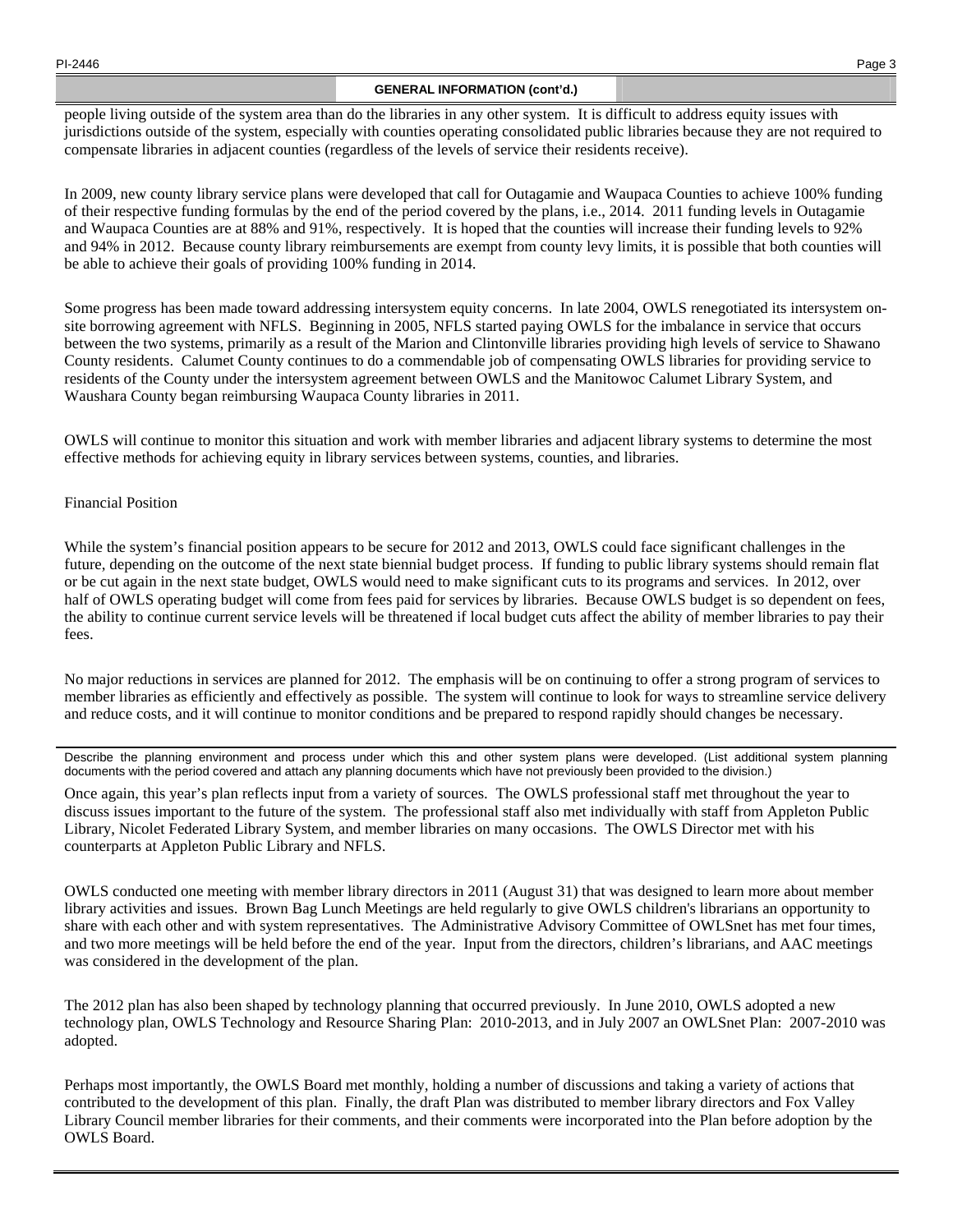PI-2446 Page 3

# **GENERAL INFORMATION (cont'd.)**

people living outside of the system area than do the libraries in any other system. It is difficult to address equity issues with jurisdictions outside of the system, especially with counties operating consolidated public libraries because they are not required to compensate libraries in adjacent counties (regardless of the levels of service their residents receive).

In 2009, new county library service plans were developed that call for Outagamie and Waupaca Counties to achieve 100% funding of their respective funding formulas by the end of the period covered by the plans, i.e., 2014. 2011 funding levels in Outagamie and Waupaca Counties are at 88% and 91%, respectively. It is hoped that the counties will increase their funding levels to 92% and 94% in 2012. Because county library reimbursements are exempt from county levy limits, it is possible that both counties will be able to achieve their goals of providing 100% funding in 2014.

Some progress has been made toward addressing intersystem equity concerns. In late 2004, OWLS renegotiated its intersystem onsite borrowing agreement with NFLS. Beginning in 2005, NFLS started paying OWLS for the imbalance in service that occurs between the two systems, primarily as a result of the Marion and Clintonville libraries providing high levels of service to Shawano County residents. Calumet County continues to do a commendable job of compensating OWLS libraries for providing service to residents of the County under the intersystem agreement between OWLS and the Manitowoc Calumet Library System, and Waushara County began reimbursing Waupaca County libraries in 2011.

OWLS will continue to monitor this situation and work with member libraries and adjacent library systems to determine the most effective methods for achieving equity in library services between systems, counties, and libraries.

# Financial Position

While the system's financial position appears to be secure for 2012 and 2013, OWLS could face significant challenges in the future, depending on the outcome of the next state biennial budget process. If funding to public library systems should remain flat or be cut again in the next state budget, OWLS would need to make significant cuts to its programs and services. In 2012, over half of OWLS operating budget will come from fees paid for services by libraries. Because OWLS budget is so dependent on fees, the ability to continue current service levels will be threatened if local budget cuts affect the ability of member libraries to pay their fees.

No major reductions in services are planned for 2012. The emphasis will be on continuing to offer a strong program of services to member libraries as efficiently and effectively as possible. The system will continue to look for ways to streamline service delivery and reduce costs, and it will continue to monitor conditions and be prepared to respond rapidly should changes be necessary.

Describe the planning environment and process under which this and other system plans were developed. (List additional system planning documents with the period covered and attach any planning documents which have not previously been provided to the division.)

Once again, this year's plan reflects input from a variety of sources. The OWLS professional staff met throughout the year to discuss issues important to the future of the system. The professional staff also met individually with staff from Appleton Public Library, Nicolet Federated Library System, and member libraries on many occasions. The OWLS Director met with his counterparts at Appleton Public Library and NFLS.

OWLS conducted one meeting with member library directors in 2011 (August 31) that was designed to learn more about member library activities and issues. Brown Bag Lunch Meetings are held regularly to give OWLS children's librarians an opportunity to share with each other and with system representatives. The Administrative Advisory Committee of OWLSnet has met four times, and two more meetings will be held before the end of the year. Input from the directors, children's librarians, and AAC meetings was considered in the development of the plan.

The 2012 plan has also been shaped by technology planning that occurred previously. In June 2010, OWLS adopted a new technology plan, OWLS Technology and Resource Sharing Plan: 2010-2013, and in July 2007 an OWLSnet Plan: 2007-2010 was adopted.

Perhaps most importantly, the OWLS Board met monthly, holding a number of discussions and taking a variety of actions that contributed to the development of this plan. Finally, the draft Plan was distributed to member library directors and Fox Valley Library Council member libraries for their comments, and their comments were incorporated into the Plan before adoption by the OWLS Board.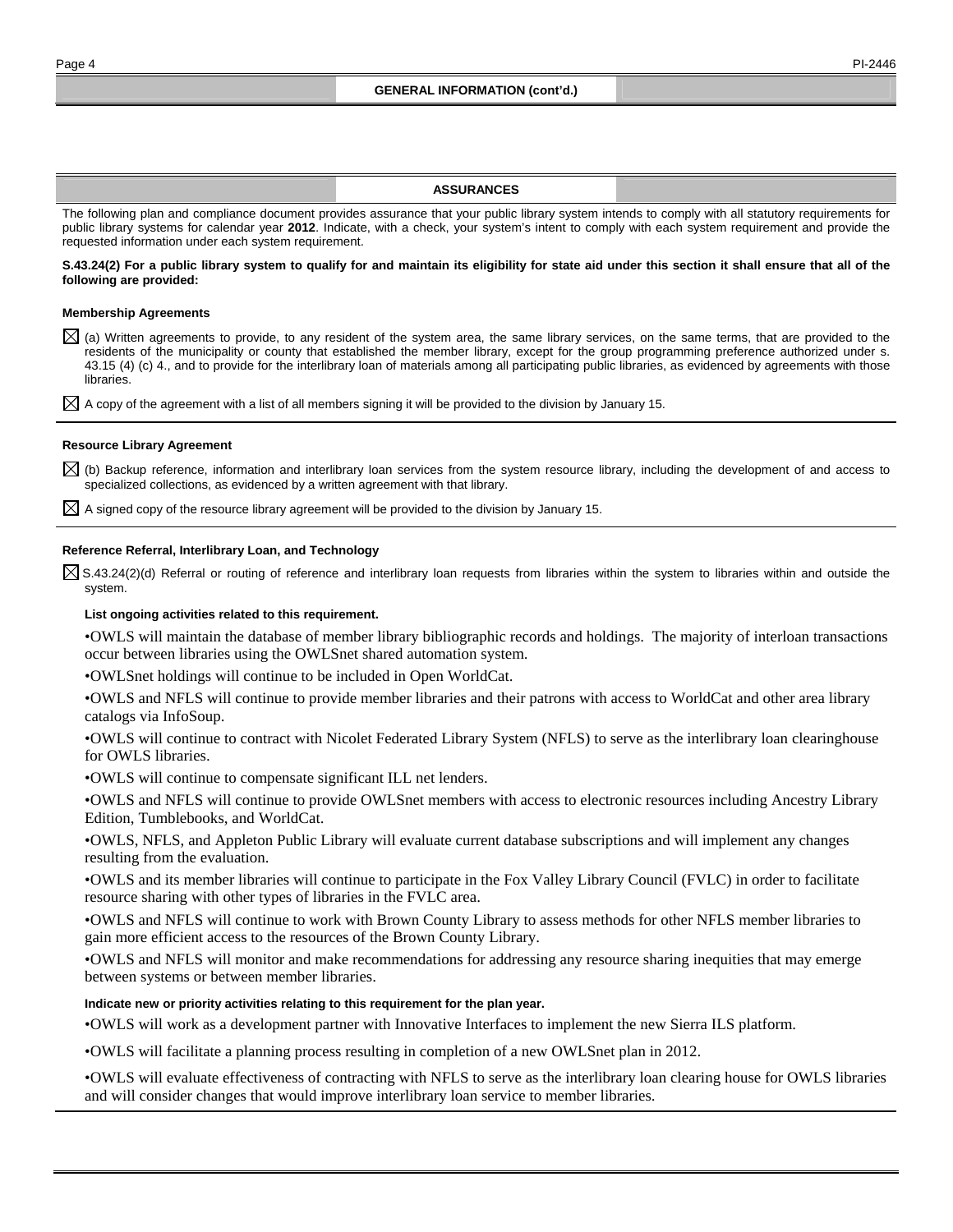#### **ASSURANCES**

The following plan and compliance document provides assurance that your public library system intends to comply with all statutory requirements for public library systems for calendar year **2012**. Indicate, with a check, your system's intent to comply with each system requirement and provide the requested information under each system requirement.

#### **S.43.24(2) For a public library system to qualify for and maintain its eligibility for state aid under this section it shall ensure that all of the following are provided:**

#### **Membership Agreements**

 $\boxtimes$  (a) Written agreements to provide, to any resident of the system area, the same library services, on the same terms, that are provided to the residents of the municipality or county that established the member library, except for the group programming preference authorized under s. 43.15 (4) (c) 4., and to provide for the interlibrary loan of materials among all participating public libraries, as evidenced by agreements with those libraries.

 $\boxtimes$  A copy of the agreement with a list of all members signing it will be provided to the division by January 15.

#### **Resource Library Agreement**

 $\boxtimes$  (b) Backup reference, information and interlibrary loan services from the system resource library, including the development of and access to specialized collections, as evidenced by a written agreement with that library.

 $\boxtimes$  A signed copy of the resource library agreement will be provided to the division by January 15.

#### **Reference Referral, Interlibrary Loan, and Technology**

 $\boxtimes$  S.43.24(2)(d) Referral or routing of reference and interlibrary loan requests from libraries within the system to libraries within and outside the system.

#### **List ongoing activities related to this requirement.**

• OWLS will maintain the database of member library bibliographic records and holdings. The majority of interloan transactions occur between libraries using the OWLSnet shared automation system.

• OWLSnet holdings will continue to be included in Open WorldCat.

• OWLS and NFLS will continue to provide member libraries and their patrons with access to WorldCat and other area library catalogs via InfoSoup.

• OWLS will continue to contract with Nicolet Federated Library System (NFLS) to serve as the interlibrary loan clearinghouse for OWLS libraries.

• OWLS will continue to compensate significant ILL net lenders.

• OWLS and NFLS will continue to provide OWLSnet members with access to electronic resources including Ancestry Library Edition, Tumblebooks, and WorldCat.

• OWLS, NFLS, and Appleton Public Library will evaluate current database subscriptions and will implement any changes resulting from the evaluation.

• OWLS and its member libraries will continue to participate in the Fox Valley Library Council (FVLC) in order to facilitate resource sharing with other types of libraries in the FVLC area.

• OWLS and NFLS will continue to work with Brown County Library to assess methods for other NFLS member libraries to gain more efficient access to the resources of the Brown County Library.

• OWLS and NFLS will monitor and make recommendations for addressing any resource sharing inequities that may emerge between systems or between member libraries.

#### **Indicate new or priority activities relating to this requirement for the plan year.**

• OWLS will work as a development partner with Innovative Interfaces to implement the new Sierra ILS platform.

• OWLS will facilitate a planning process resulting in completion of a new OWLSnet plan in 2012.

• OWLS will evaluate effectiveness of contracting with NFLS to serve as the interlibrary loan clearing house for OWLS libraries and will consider changes that would improve interlibrary loan service to member libraries.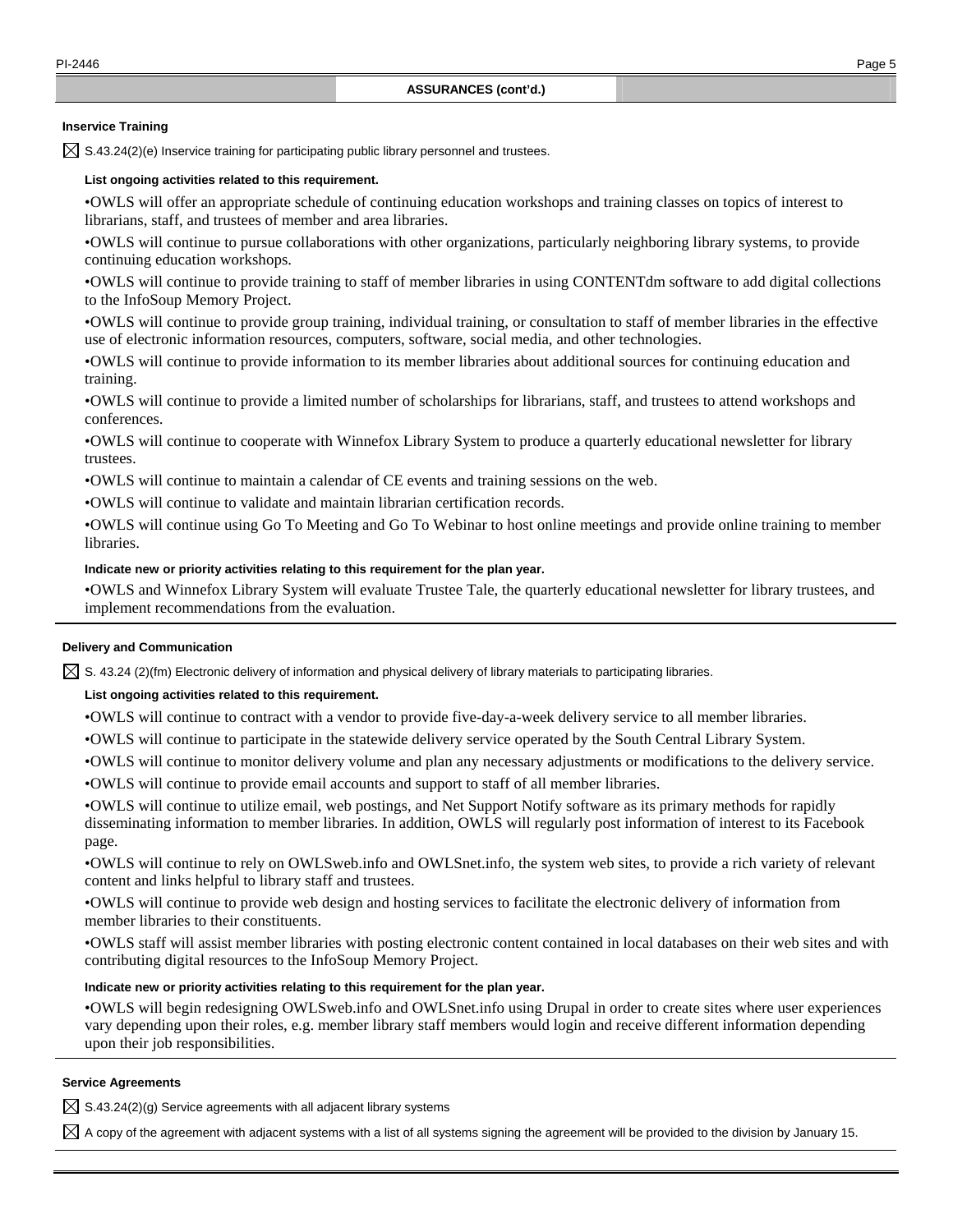# **Inservice Training**

 $\boxtimes$  S.43.24(2)(e) Inservice training for participating public library personnel and trustees.

#### **List ongoing activities related to this requirement.**

• OWLS will offer an appropriate schedule of continuing education workshops and training classes on topics of interest to librarians, staff, and trustees of member and area libraries.

• OWLS will continue to pursue collaborations with other organizations, particularly neighboring library systems, to provide continuing education workshops.

• OWLS will continue to provide training to staff of member libraries in using CONTENTdm software to add digital collections to the InfoSoup Memory Project.

• OWLS will continue to provide group training, individual training, or consultation to staff of member libraries in the effective use of electronic information resources, computers, software, social media, and other technologies.

• OWLS will continue to provide information to its member libraries about additional sources for continuing education and training.

• OWLS will continue to provide a limited number of scholarships for librarians, staff, and trustees to attend workshops and conferences.

• OWLS will continue to cooperate with Winnefox Library System to produce a quarterly educational newsletter for library trustees.

• OWLS will continue to maintain a calendar of CE events and training sessions on the web.

• OWLS will continue to validate and maintain librarian certification records.

• OWLS will continue using Go To Meeting and Go To Webinar to host online meetings and provide online training to member libraries.

### **Indicate new or priority activities relating to this requirement for the plan year.**

• OWLS and Winnefox Library System will evaluate Trustee Tale, the quarterly educational newsletter for library trustees, and implement recommendations from the evaluation.

### **Delivery and Communication**

 $\boxtimes$  S. 43.24 (2)(fm) Electronic delivery of information and physical delivery of library materials to participating libraries.

## **List ongoing activities related to this requirement.**

- OWLS will continue to contract with a vendor to provide five-day-a-week delivery service to all member libraries.
- OWLS will continue to participate in the statewide delivery service operated by the South Central Library System.
- OWLS will continue to monitor delivery volume and plan any necessary adjustments or modifications to the delivery service.
- OWLS will continue to provide email accounts and support to staff of all member libraries.

• OWLS will continue to utilize email, web postings, and Net Support Notify software as its primary methods for rapidly disseminating information to member libraries. In addition, OWLS will regularly post information of interest to its Facebook page.

• OWLS will continue to rely on OWLSweb.info and OWLSnet.info, the system web sites, to provide a rich variety of relevant content and links helpful to library staff and trustees.

• OWLS will continue to provide web design and hosting services to facilitate the electronic delivery of information from member libraries to their constituents.

• OWLS staff will assist member libraries with posting electronic content contained in local databases on their web sites and with contributing digital resources to the InfoSoup Memory Project.

## **Indicate new or priority activities relating to this requirement for the plan year.**

• OWLS will begin redesigning OWLSweb.info and OWLSnet.info using Drupal in order to create sites where user experiences vary depending upon their roles, e.g. member library staff members would login and receive different information depending upon their job responsibilities.

#### **Service Agreements**

 $\boxtimes$  S.43.24(2)(g) Service agreements with all adjacent library systems

 $\boxtimes$  A copy of the agreement with adjacent systems with a list of all systems signing the agreement will be provided to the division by January 15.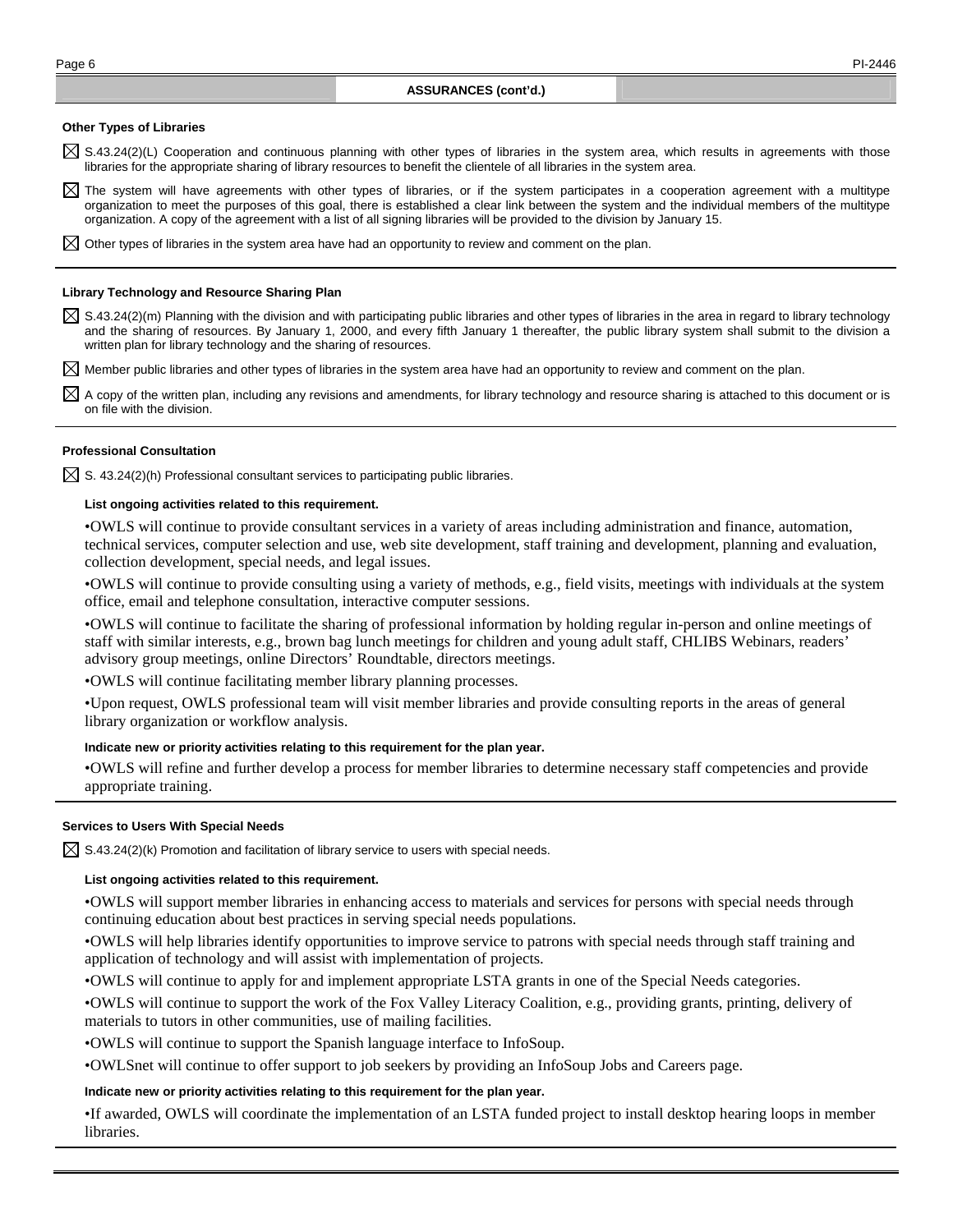### **Other Types of Libraries**

 $\boxtimes$  S.43.24(2)(L) Cooperation and continuous planning with other types of libraries in the system area, which results in agreements with those libraries for the appropriate sharing of library resources to benefit the clientele of all libraries in the system area.

 $\boxtimes$  The system will have agreements with other types of libraries, or if the system participates in a cooperation agreement with a multitype organization to meet the purposes of this goal, there is established a clear link between the system and the individual members of the multitype organization. A copy of the agreement with a list of all signing libraries will be provided to the division by January 15.

 $\boxtimes$  Other types of libraries in the system area have had an opportunity to review and comment on the plan.

#### **Library Technology and Resource Sharing Plan**

 $\boxtimes$  S.43.24(2)(m) Planning with the division and with participating public libraries and other types of libraries in the area in regard to library technology and the sharing of resources. By January 1, 2000, and every fifth January 1 thereafter, the public library system shall submit to the division a written plan for library technology and the sharing of resources.

 $\boxtimes$  Member public libraries and other types of libraries in the system area have had an opportunity to review and comment on the plan.

 $\boxtimes$  A copy of the written plan, including any revisions and amendments, for library technology and resource sharing is attached to this document or is on file with the division.

## **Professional Consultation**

 $\boxtimes$  S. 43.24(2)(h) Professional consultant services to participating public libraries.

#### **List ongoing activities related to this requirement.**

• OWLS will continue to provide consultant services in a variety of areas including administration and finance, automation, technical services, computer selection and use, web site development, staff training and development, planning and evaluation, collection development, special needs, and legal issues.

• OWLS will continue to provide consulting using a variety of methods, e.g., field visits, meetings with individuals at the system office, email and telephone consultation, interactive computer sessions.

• OWLS will continue to facilitate the sharing of professional information by holding regular in-person and online meetings of staff with similar interests, e.g., brown bag lunch meetings for children and young adult staff, CHLIBS Webinars, readers' advisory group meetings, online Directors' Roundtable, directors meetings.

• OWLS will continue facilitating member library planning processes.

• Upon request, OWLS professional team will visit member libraries and provide consulting reports in the areas of general library organization or workflow analysis.

### **Indicate new or priority activities relating to this requirement for the plan year.**

• OWLS will refine and further develop a process for member libraries to determine necessary staff competencies and provide appropriate training.

### **Services to Users With Special Needs**

 $\boxtimes$  S.43.24(2)(k) Promotion and facilitation of library service to users with special needs.

## **List ongoing activities related to this requirement.**

• OWLS will support member libraries in enhancing access to materials and services for persons with special needs through continuing education about best practices in serving special needs populations.

• OWLS will help libraries identify opportunities to improve service to patrons with special needs through staff training and application of technology and will assist with implementation of projects.

• OWLS will continue to apply for and implement appropriate LSTA grants in one of the Special Needs categories.

• OWLS will continue to support the work of the Fox Valley Literacy Coalition, e.g., providing grants, printing, delivery of materials to tutors in other communities, use of mailing facilities.

• OWLS will continue to support the Spanish language interface to InfoSoup.

• OWLSnet will continue to offer support to job seekers by providing an InfoSoup Jobs and Careers page.

## **Indicate new or priority activities relating to this requirement for the plan year.**

• If awarded, OWLS will coordinate the implementation of an LSTA funded project to install desktop hearing loops in member libraries.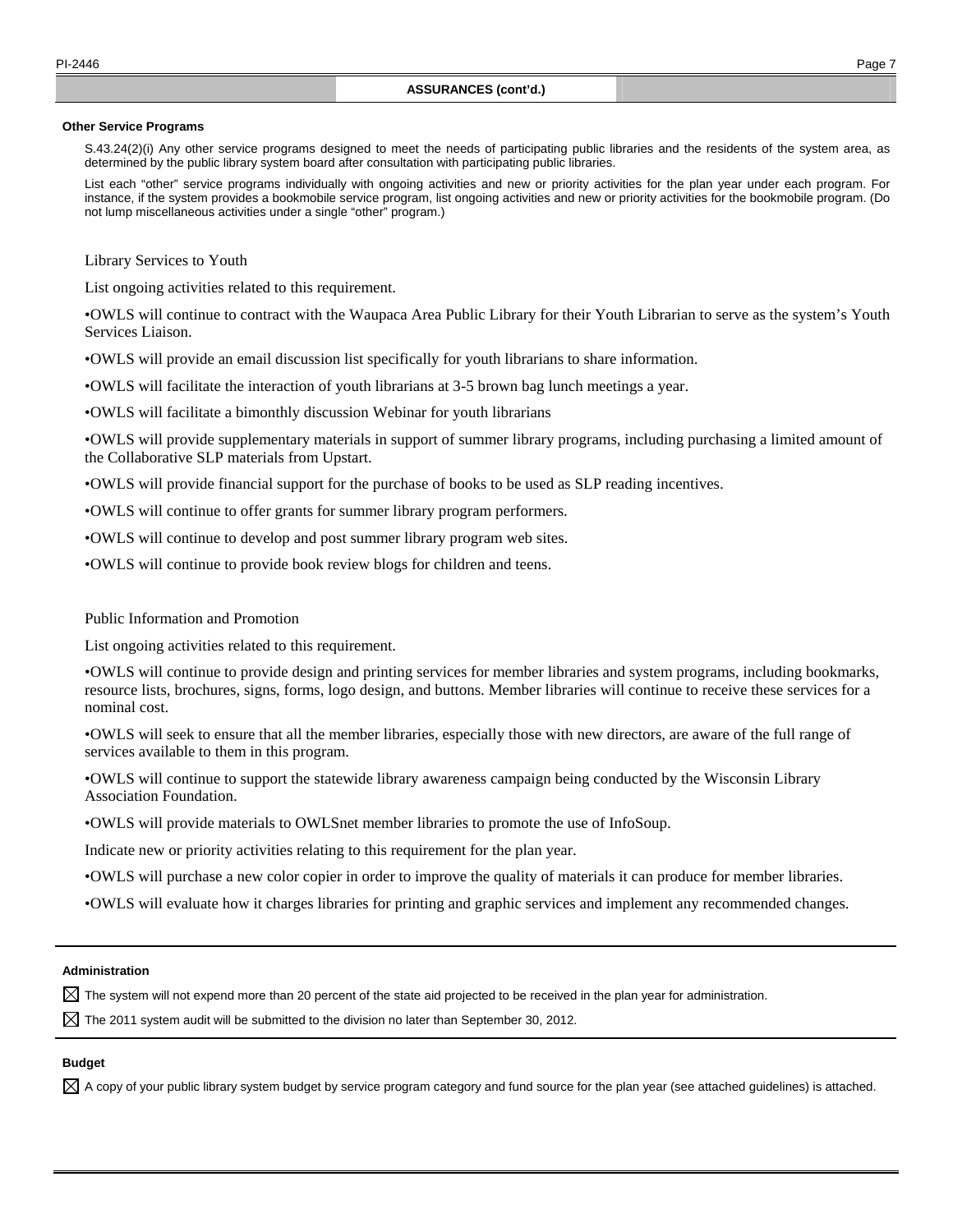#### **Other Service Programs**

 S.43.24(2)(i) Any other service programs designed to meet the needs of participating public libraries and the residents of the system area, as determined by the public library system board after consultation with participating public libraries.

 List each "other" service programs individually with ongoing activities and new or priority activities for the plan year under each program. For instance, if the system provides a bookmobile service program, list ongoing activities and new or priority activities for the bookmobile program. (Do not lump miscellaneous activities under a single "other" program.)

Library Services to Youth

List ongoing activities related to this requirement.

• OWLS will continue to contract with the Waupaca Area Public Library for their Youth Librarian to serve as the system's Youth Services Liaison.

• OWLS will provide an email discussion list specifically for youth librarians to share information.

• OWLS will facilitate the interaction of youth librarians at 3-5 brown bag lunch meetings a year.

• OWLS will facilitate a bimonthly discussion Webinar for youth librarians

• OWLS will provide supplementary materials in support of summer library programs, including purchasing a limited amount of the Collaborative SLP materials from Upstart.

• OWLS will provide financial support for the purchase of books to be used as SLP reading incentives.

• OWLS will continue to offer grants for summer library program performers.

• OWLS will continue to develop and post summer library program web sites.

• OWLS will continue to provide book review blogs for children and teens.

## Public Information and Promotion

List ongoing activities related to this requirement.

• OWLS will continue to provide design and printing services for member libraries and system programs, including bookmarks, resource lists, brochures, signs, forms, logo design, and buttons. Member libraries will continue to receive these services for a nominal cost.

• OWLS will seek to ensure that all the member libraries, especially those with new directors, are aware of the full range of services available to them in this program.

• OWLS will continue to support the statewide library awareness campaign being conducted by the Wisconsin Library Association Foundation.

• OWLS will provide materials to OWLSnet member libraries to promote the use of InfoSoup.

Indicate new or priority activities relating to this requirement for the plan year.

• OWLS will purchase a new color copier in order to improve the quality of materials it can produce for member libraries.

• OWLS will evaluate how it charges libraries for printing and graphic services and implement any recommended changes.

# **Administration**

 $\boxtimes$  The system will not expend more than 20 percent of the state aid projected to be received in the plan year for administration.

 $\boxtimes$  The 2011 system audit will be submitted to the division no later than September 30, 2012.

# **Budget**

 $\boxtimes$  A copy of your public library system budget by service program category and fund source for the plan year (see attached guidelines) is attached.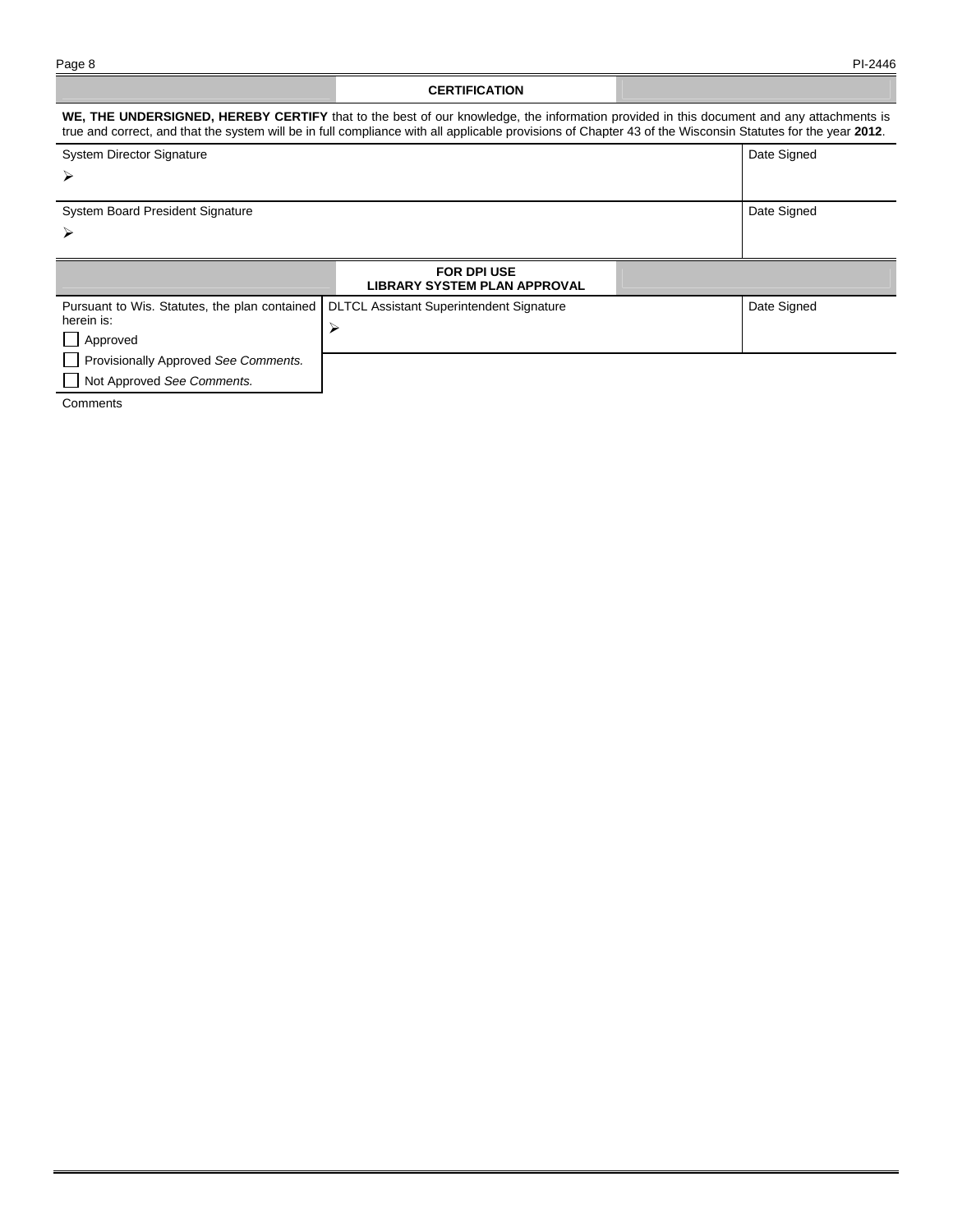### **CERTIFICATION**

### **WE, THE UNDERSIGNED, HEREBY CERTIFY** that to the best of our knowledge, the information provided in this document and any attachments is true and correct, and that the system will be in full compliance with all applicable provisions of Chapter 43 of the Wisconsin Statutes for the year **2012**. System Director Signature  $\blacktriangleright$ Date Signed System Board President Signature ➤ Date Signed **FOR DPI USE LIBRARY SYSTEM PLAN APPROVAL**  Pursuant to Wis. Statutes, the plan contained herein is: **Approved**  Provisionally Approved *See Comments.* DLTCL Assistant Superintendent Signature  $\blacktriangleright$ Date Signed

**Comments** 

Not Approved *See Comments.*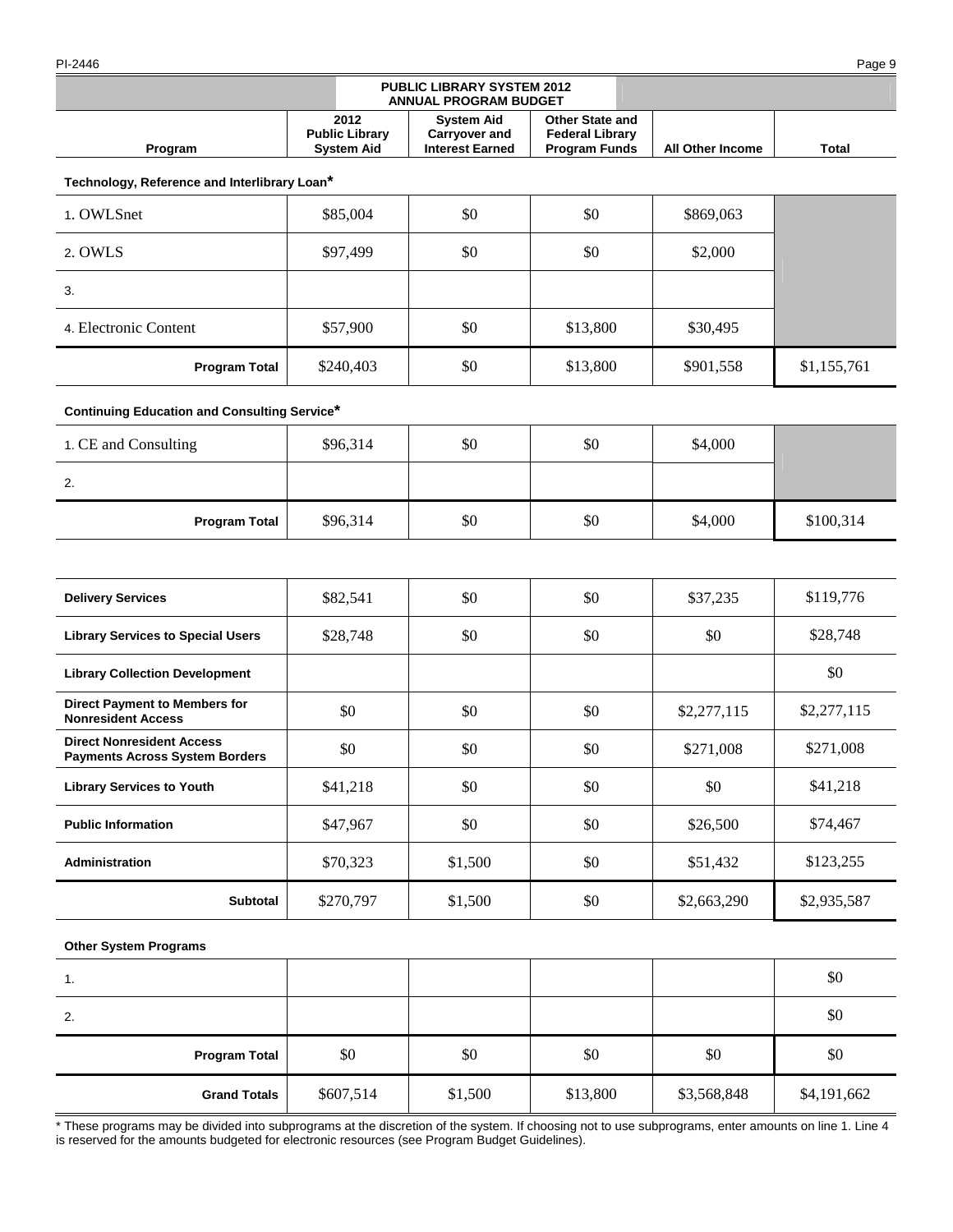PI-2446 Page 9

All Other Income **Total** 

| Technology, Reference and Interlibrary Loan* |  |  |
|----------------------------------------------|--|--|
|                                              |  |  |

**Program** 

| 1. OWLSnet            | \$85,004  | \$0 | \$0      | \$869,063 |             |
|-----------------------|-----------|-----|----------|-----------|-------------|
| 2. OWLS               | \$97,499  | \$0 | \$0      | \$2,000   |             |
| 3.                    |           |     |          |           |             |
| 4. Electronic Content | \$57,900  | \$0 | \$13,800 | \$30,495  |             |
| <b>Program Total</b>  | \$240,403 | \$0 | \$13,800 | \$901,558 | \$1,155,761 |

**PUBLIC LIBRARY SYSTEM 2012 ANNUAL PROGRAM BUDGET** 

> **System Aid Carryover and Interest Earned**

**Other State and Federal Library** 

**2012 Public Library System Aid** 

# **Continuing Education and Consulting Service\***

| 1. CE and Consulting | \$96,314 | \$0 | \$0 | \$4,000 |           |
|----------------------|----------|-----|-----|---------|-----------|
| 2.                   |          |     |     |         |           |
| <b>Program Total</b> | \$96,314 | \$0 | \$0 | \$4,000 | \$100,314 |

| <b>Delivery Services</b>                                                  | \$82,541  | \$0     | \$0 | \$37,235    | \$119,776   |
|---------------------------------------------------------------------------|-----------|---------|-----|-------------|-------------|
| <b>Library Services to Special Users</b>                                  | \$28,748  | \$0     | \$0 | \$0         | \$28,748    |
| <b>Library Collection Development</b>                                     |           |         |     |             | \$0         |
| <b>Direct Payment to Members for</b><br><b>Nonresident Access</b>         | \$0       | \$0     | \$0 | \$2,277,115 | \$2,277,115 |
| <b>Direct Nonresident Access</b><br><b>Payments Across System Borders</b> | \$0       | \$0     | \$0 | \$271,008   | \$271,008   |
| <b>Library Services to Youth</b>                                          | \$41,218  | \$0     | \$0 | \$0         | \$41,218    |
| <b>Public Information</b>                                                 | \$47,967  | \$0     | \$0 | \$26,500    | \$74,467    |
| Administration                                                            | \$70,323  | \$1,500 | \$0 | \$51,432    | \$123,255   |
| <b>Subtotal</b>                                                           | \$270,797 | \$1,500 | \$0 | \$2,663,290 | \$2,935,587 |

# **Other System Programs**

| 1.                   |           |         |          |             | \$0         |
|----------------------|-----------|---------|----------|-------------|-------------|
| 2.                   |           |         |          |             | \$0         |
| <b>Program Total</b> | \$0       | \$0     | \$0      | \$0         | \$0         |
| <b>Grand Totals</b>  | \$607,514 | \$1,500 | \$13,800 | \$3,568,848 | \$4,191,662 |

\* These programs may be divided into subprograms at the discretion of the system. If choosing not to use subprograms, enter amounts on line 1. Line 4 is reserved for the amounts budgeted for electronic resources (see Program Budget Guidelines).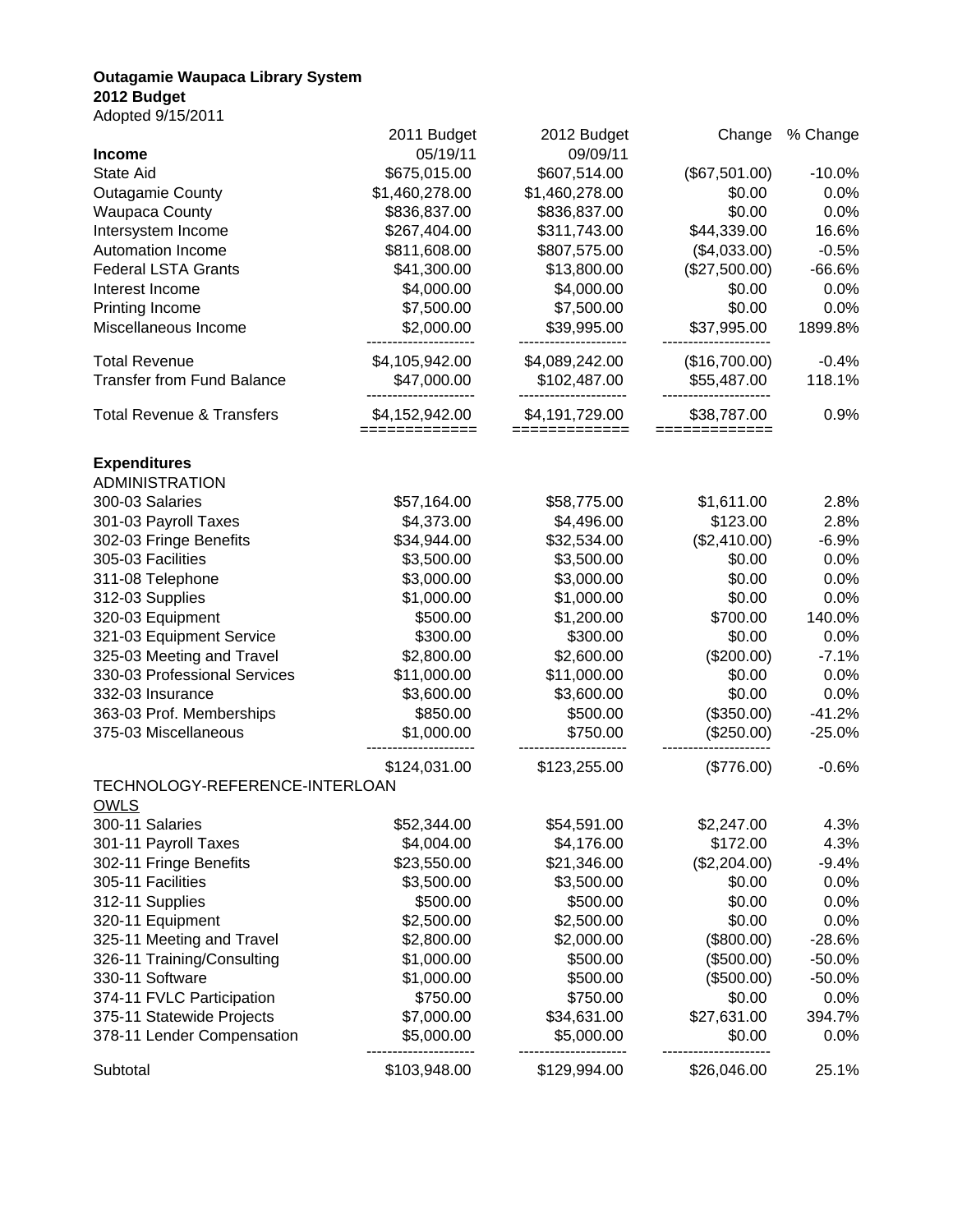# **Outagamie Waupaca Library System 2012 Budget**

Adopted 9/15/2011

|                                                         | 2011 Budget            | 2012 Budget    | Change        | % Change         |
|---------------------------------------------------------|------------------------|----------------|---------------|------------------|
| <b>Income</b>                                           | 05/19/11               | 09/09/11       |               |                  |
| State Aid                                               | \$675,015.00           | \$607,514.00   | (\$67,501.00) | $-10.0%$         |
| <b>Outagamie County</b>                                 | \$1,460,278.00         | \$1,460,278.00 | \$0.00        | 0.0%             |
| <b>Waupaca County</b>                                   | \$836,837.00           | \$836,837.00   | \$0.00        | 0.0%             |
| Intersystem Income                                      | \$267,404.00           | \$311,743.00   | \$44,339.00   | 16.6%            |
| Automation Income                                       | \$811,608.00           | \$807,575.00   | (\$4,033.00)  | $-0.5%$          |
| <b>Federal LSTA Grants</b>                              | \$41,300.00            | \$13,800.00    | (\$27,500.00) | $-66.6%$         |
| Interest Income                                         | \$4,000.00             | \$4,000.00     | \$0.00        | 0.0%             |
| Printing Income                                         | \$7,500.00             | \$7,500.00     | \$0.00        | 0.0%             |
| Miscellaneous Income                                    | \$2,000.00             | \$39,995.00    | \$37,995.00   | 1899.8%          |
| <b>Total Revenue</b>                                    | \$4,105,942.00         | \$4,089,242.00 | (\$16,700.00) | $-0.4%$          |
| <b>Transfer from Fund Balance</b>                       | \$47,000.00            | \$102,487.00   | \$55,487.00   | 118.1%           |
| <b>Total Revenue &amp; Transfers</b>                    | \$4,152,942.00         | \$4,191,729.00 | \$38,787.00   | 0.9%             |
| <b>Expenditures</b>                                     |                        |                |               |                  |
| <b>ADMINISTRATION</b>                                   |                        |                |               |                  |
| 300-03 Salaries                                         | \$57,164.00            | \$58,775.00    | \$1,611.00    | 2.8%             |
| 301-03 Payroll Taxes                                    | \$4,373.00             | \$4,496.00     | \$123.00      | 2.8%             |
| 302-03 Fringe Benefits                                  | \$34,944.00            | \$32,534.00    | (\$2,410.00)  | $-6.9%$          |
| 305-03 Facilities                                       | \$3,500.00             | \$3,500.00     | \$0.00        | 0.0%             |
| 311-08 Telephone                                        | \$3,000.00             | \$3,000.00     | \$0.00        | 0.0%             |
| 312-03 Supplies                                         | \$1,000.00             | \$1,000.00     | \$0.00        | 0.0%             |
| 320-03 Equipment                                        | \$500.00               | \$1,200.00     | \$700.00      | 140.0%           |
| 321-03 Equipment Service                                | \$300.00               | \$300.00       | \$0.00        | 0.0%             |
| 325-03 Meeting and Travel                               | \$2,800.00             | \$2,600.00     | (\$200.00)    | $-7.1%$          |
| 330-03 Professional Services                            | \$11,000.00            | \$11,000.00    | \$0.00        | 0.0%             |
| 332-03 Insurance                                        | \$3,600.00             | \$3,600.00     | \$0.00        | 0.0%             |
| 363-03 Prof. Memberships                                | \$850.00               | \$500.00       | (\$350.00)    | $-41.2%$         |
| 375-03 Miscellaneous                                    | \$1,000.00             | \$750.00       | (\$250.00)    | $-25.0%$         |
|                                                         | \$124,031.00           | \$123,255.00   | (\$776.00)    | $-0.6%$          |
| TECHNOLOGY-REFERENCE-INTERLOAN<br><b>OWLS</b>           |                        |                |               |                  |
| 300-11 Salaries                                         | \$52,344.00            | \$54,591.00    | \$2,247.00    | 4.3%             |
| 301-11 Payroll Taxes                                    | \$4,004.00             | \$4,176.00     | \$172.00      | 4.3%             |
| 302-11 Fringe Benefits                                  | \$23,550.00            | \$21,346.00    | (\$2,204.00)  | $-9.4%$          |
| 305-11 Facilities                                       | \$3,500.00             | \$3,500.00     | \$0.00        | 0.0%             |
| 312-11 Supplies                                         | \$500.00               | \$500.00       | \$0.00        | 0.0%             |
| 320-11 Equipment                                        | \$2,500.00             | \$2,500.00     | \$0.00        | 0.0%             |
| 325-11 Meeting and Travel                               | \$2,800.00             | \$2,000.00     | (\$800.00)    | $-28.6%$         |
| 326-11 Training/Consulting                              | \$1,000.00             | \$500.00       | (\$500.00)    | $-50.0%$         |
| 330-11 Software                                         |                        | \$500.00       | (\$500.00)    |                  |
| 374-11 FVLC Participation                               | \$1,000.00<br>\$750.00 | \$750.00       | \$0.00        | $-50.0%$<br>0.0% |
|                                                         |                        |                |               |                  |
| 375-11 Statewide Projects<br>378-11 Lender Compensation | \$7,000.00             | \$34,631.00    | \$27,631.00   | 394.7%           |
|                                                         | \$5,000.00             | \$5,000.00     | \$0.00        | 0.0%             |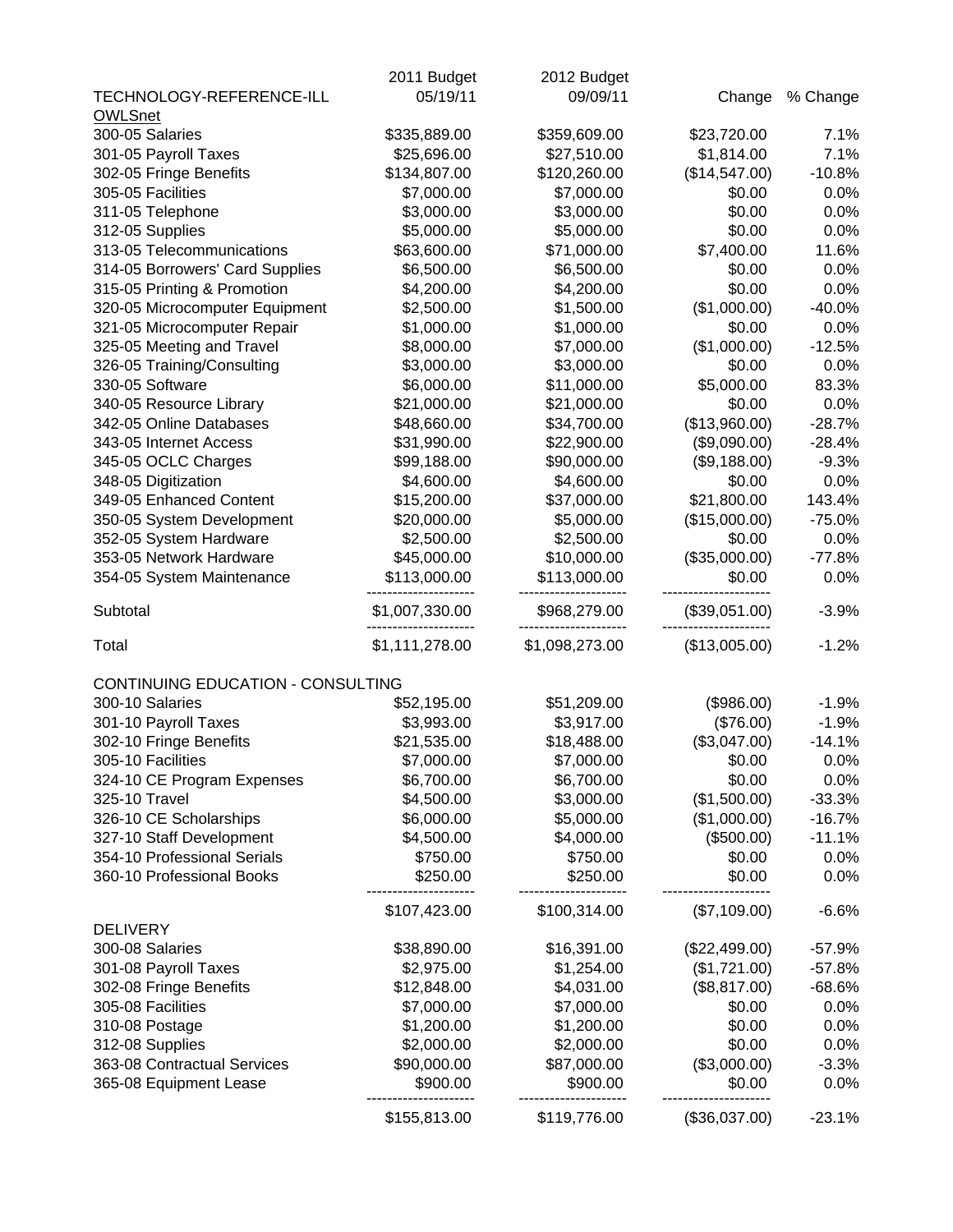|                                   | 2011 Budget    | 2012 Budget    |               |          |
|-----------------------------------|----------------|----------------|---------------|----------|
| TECHNOLOGY-REFERENCE-ILL          | 05/19/11       | 09/09/11       | Change        | % Change |
| <b>OWLSnet</b>                    |                |                |               |          |
| 300-05 Salaries                   | \$335,889.00   | \$359,609.00   | \$23,720.00   | 7.1%     |
| 301-05 Payroll Taxes              | \$25,696.00    | \$27,510.00    | \$1,814.00    | 7.1%     |
| 302-05 Fringe Benefits            | \$134,807.00   | \$120,260.00   | (\$14,547.00) | $-10.8%$ |
| 305-05 Facilities                 | \$7,000.00     | \$7,000.00     | \$0.00        | 0.0%     |
| 311-05 Telephone                  | \$3,000.00     | \$3,000.00     | \$0.00        | 0.0%     |
| 312-05 Supplies                   | \$5,000.00     | \$5,000.00     | \$0.00        | 0.0%     |
| 313-05 Telecommunications         | \$63,600.00    | \$71,000.00    | \$7,400.00    | 11.6%    |
| 314-05 Borrowers' Card Supplies   | \$6,500.00     | \$6,500.00     | \$0.00        | 0.0%     |
| 315-05 Printing & Promotion       | \$4,200.00     | \$4,200.00     | \$0.00        | 0.0%     |
| 320-05 Microcomputer Equipment    | \$2,500.00     | \$1,500.00     | (\$1,000.00)  | $-40.0%$ |
| 321-05 Microcomputer Repair       | \$1,000.00     | \$1,000.00     | \$0.00        | 0.0%     |
| 325-05 Meeting and Travel         | \$8,000.00     | \$7,000.00     | (\$1,000.00)  | $-12.5%$ |
| 326-05 Training/Consulting        | \$3,000.00     | \$3,000.00     | \$0.00        | 0.0%     |
| 330-05 Software                   | \$6,000.00     | \$11,000.00    | \$5,000.00    | 83.3%    |
| 340-05 Resource Library           | \$21,000.00    | \$21,000.00    | \$0.00        | 0.0%     |
| 342-05 Online Databases           | \$48,660.00    | \$34,700.00    | (\$13,960.00) | $-28.7%$ |
| 343-05 Internet Access            | \$31,990.00    | \$22,900.00    | (\$9,090.00)  | $-28.4%$ |
| 345-05 OCLC Charges               | \$99,188.00    | \$90,000.00    | (\$9,188.00)  | $-9.3%$  |
| 348-05 Digitization               | \$4,600.00     | \$4,600.00     | \$0.00        | 0.0%     |
| 349-05 Enhanced Content           | \$15,200.00    | \$37,000.00    | \$21,800.00   | 143.4%   |
| 350-05 System Development         | \$20,000.00    | \$5,000.00     | (\$15,000.00) | $-75.0%$ |
| 352-05 System Hardware            | \$2,500.00     | \$2,500.00     | \$0.00        | 0.0%     |
| 353-05 Network Hardware           | \$45,000.00    | \$10,000.00    | (\$35,000.00) | $-77.8%$ |
| 354-05 System Maintenance         | \$113,000.00   | \$113,000.00   | \$0.00        | 0.0%     |
| Subtotal                          | \$1,007,330.00 | \$968,279.00   | (\$39,051.00) | $-3.9%$  |
| Total                             | \$1,111,278.00 | \$1,098,273.00 | (\$13,005.00) | $-1.2%$  |
| CONTINUING EDUCATION - CONSULTING |                |                |               |          |
| 300-10 Salaries                   | \$52,195.00    | \$51,209.00    | (\$986.00)    | $-1.9%$  |
| 301-10 Payroll Taxes              | \$3,993.00     | \$3,917.00     | (\$76.00)     | $-1.9%$  |
| 302-10 Fringe Benefits            | \$21,535.00    | \$18,488.00    | (\$3,047.00)  | $-14.1%$ |
| 305-10 Facilities                 | \$7,000.00     | \$7,000.00     | \$0.00        | 0.0%     |
| 324-10 CE Program Expenses        | \$6,700.00     | \$6,700.00     | \$0.00        | 0.0%     |
| 325-10 Travel                     | \$4,500.00     | \$3,000.00     | (\$1,500.00)  | $-33.3%$ |
| 326-10 CE Scholarships            | \$6,000.00     | \$5,000.00     | (\$1,000.00)  | $-16.7%$ |
| 327-10 Staff Development          | \$4,500.00     | \$4,000.00     | (\$500.00)    | $-11.1%$ |
| 354-10 Professional Serials       | \$750.00       | \$750.00       | \$0.00        | 0.0%     |
| 360-10 Professional Books         | \$250.00       | \$250.00       | \$0.00        | 0.0%     |
|                                   | \$107,423.00   | \$100,314.00   | (\$7,109.00)  | $-6.6%$  |
| <b>DELIVERY</b>                   |                |                |               |          |
| 300-08 Salaries                   | \$38,890.00    | \$16,391.00    | (\$22,499.00) | $-57.9%$ |
| 301-08 Payroll Taxes              | \$2,975.00     | \$1,254.00     | (\$1,721.00)  | $-57.8%$ |
| 302-08 Fringe Benefits            | \$12,848.00    | \$4,031.00     | (\$8,817.00)  | $-68.6%$ |
| 305-08 Facilities                 | \$7,000.00     | \$7,000.00     | \$0.00        | 0.0%     |
| 310-08 Postage                    | \$1,200.00     | \$1,200.00     | \$0.00        | 0.0%     |
| 312-08 Supplies                   | \$2,000.00     | \$2,000.00     | \$0.00        | 0.0%     |
| 363-08 Contractual Services       | \$90,000.00    | \$87,000.00    | (\$3,000.00)  | $-3.3%$  |
| 365-08 Equipment Lease            | \$900.00       | \$900.00       | \$0.00        | 0.0%     |
|                                   | \$155,813.00   | \$119,776.00   | (\$36,037.00) | $-23.1%$ |
|                                   |                |                |               |          |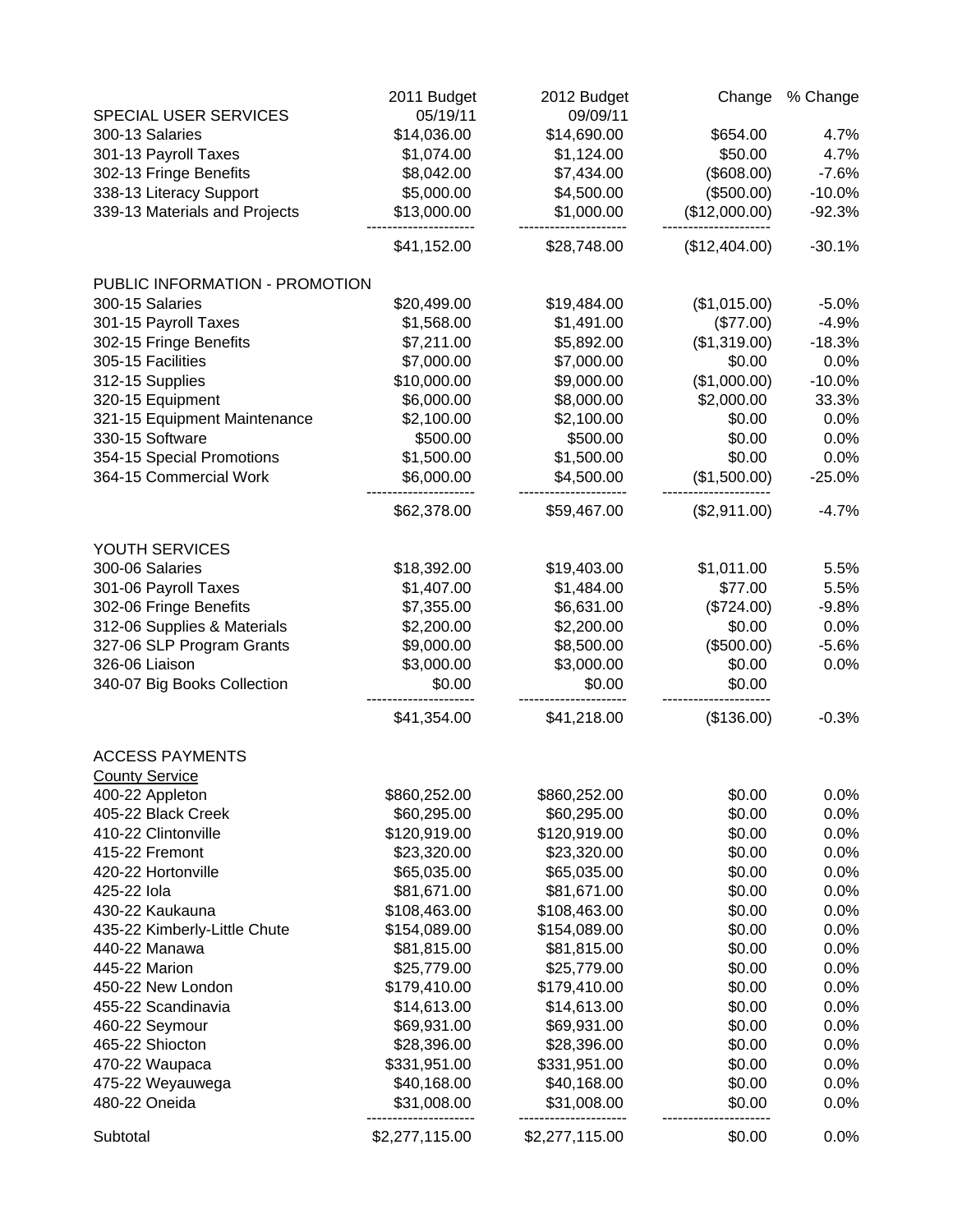|                                | 2011 Budget    | 2012 Budget    | Change        | % Change |
|--------------------------------|----------------|----------------|---------------|----------|
| SPECIAL USER SERVICES          | 05/19/11       | 09/09/11       |               |          |
| 300-13 Salaries                | \$14,036.00    | \$14,690.00    | \$654.00      | 4.7%     |
| 301-13 Payroll Taxes           | \$1,074.00     | \$1,124.00     | \$50.00       | 4.7%     |
| 302-13 Fringe Benefits         | \$8,042.00     | \$7,434.00     | (\$608.00)    | $-7.6%$  |
| 338-13 Literacy Support        | \$5,000.00     | \$4,500.00     | (\$500.00)    | $-10.0%$ |
| 339-13 Materials and Projects  | \$13,000.00    | \$1,000.00     | (\$12,000.00) | $-92.3%$ |
|                                | \$41,152.00    | \$28,748.00    | (\$12,404.00) | $-30.1%$ |
| PUBLIC INFORMATION - PROMOTION |                |                |               |          |
| 300-15 Salaries                | \$20,499.00    | \$19,484.00    | (\$1,015.00)  | $-5.0%$  |
| 301-15 Payroll Taxes           | \$1,568.00     | \$1,491.00     | (\$77.00)     | $-4.9%$  |
| 302-15 Fringe Benefits         | \$7,211.00     | \$5,892.00     | (\$1,319.00)  | $-18.3%$ |
| 305-15 Facilities              | \$7,000.00     | \$7,000.00     | \$0.00        | 0.0%     |
| 312-15 Supplies                | \$10,000.00    | \$9,000.00     | (\$1,000.00)  | $-10.0%$ |
| 320-15 Equipment               | \$6,000.00     | \$8,000.00     | \$2,000.00    | 33.3%    |
| 321-15 Equipment Maintenance   | \$2,100.00     | \$2,100.00     | \$0.00        | 0.0%     |
| 330-15 Software                | \$500.00       | \$500.00       | \$0.00        | 0.0%     |
| 354-15 Special Promotions      | \$1,500.00     | \$1,500.00     | \$0.00        | 0.0%     |
| 364-15 Commercial Work         | \$6,000.00     | \$4,500.00     | (\$1,500.00)  | $-25.0%$ |
|                                | \$62,378.00    | \$59,467.00    | (\$2,911.00)  | $-4.7%$  |
| YOUTH SERVICES                 |                |                |               |          |
| 300-06 Salaries                | \$18,392.00    | \$19,403.00    | \$1,011.00    | 5.5%     |
| 301-06 Payroll Taxes           | \$1,407.00     | \$1,484.00     | \$77.00       | 5.5%     |
| 302-06 Fringe Benefits         | \$7,355.00     | \$6,631.00     | (\$724.00)    | $-9.8%$  |
| 312-06 Supplies & Materials    | \$2,200.00     | \$2,200.00     | \$0.00        | 0.0%     |
| 327-06 SLP Program Grants      | \$9,000.00     | \$8,500.00     | (\$500.00)    | $-5.6%$  |
| 326-06 Liaison                 | \$3,000.00     | \$3,000.00     | \$0.00        | 0.0%     |
| 340-07 Big Books Collection    | \$0.00         | \$0.00         | \$0.00        |          |
|                                | \$41,354.00    | \$41,218.00    | (\$136.00)    | $-0.3%$  |
| <b>ACCESS PAYMENTS</b>         |                |                |               |          |
| <b>County Service</b>          |                |                |               |          |
| 400-22 Appleton                | \$860,252.00   | \$860,252.00   | \$0.00        | 0.0%     |
| 405-22 Black Creek             | \$60,295.00    | \$60,295.00    | \$0.00        | 0.0%     |
| 410-22 Clintonville            | \$120,919.00   | \$120,919.00   | \$0.00        | 0.0%     |
| 415-22 Fremont                 | \$23,320.00    | \$23,320.00    | \$0.00        | 0.0%     |
| 420-22 Hortonville             | \$65,035.00    | \$65,035.00    | \$0.00        | 0.0%     |
| 425-22 lola                    | \$81,671.00    | \$81,671.00    | \$0.00        | 0.0%     |
| 430-22 Kaukauna                | \$108,463.00   | \$108,463.00   | \$0.00        | 0.0%     |
| 435-22 Kimberly-Little Chute   | \$154,089.00   | \$154,089.00   | \$0.00        | 0.0%     |
| 440-22 Manawa                  | \$81,815.00    | \$81,815.00    | \$0.00        | 0.0%     |
| 445-22 Marion                  | \$25,779.00    | \$25,779.00    | \$0.00        | 0.0%     |
| 450-22 New London              | \$179,410.00   | \$179,410.00   | \$0.00        | 0.0%     |
| 455-22 Scandinavia             | \$14,613.00    | \$14,613.00    | \$0.00        | 0.0%     |
| 460-22 Seymour                 | \$69,931.00    | \$69,931.00    | \$0.00        | 0.0%     |
| 465-22 Shiocton                | \$28,396.00    | \$28,396.00    | \$0.00        | 0.0%     |
| 470-22 Waupaca                 | \$331,951.00   | \$331,951.00   | \$0.00        | 0.0%     |
| 475-22 Weyauwega               | \$40,168.00    | \$40,168.00    | \$0.00        | 0.0%     |
| 480-22 Oneida                  | \$31,008.00    | \$31,008.00    | \$0.00        | 0.0%     |
| Subtotal                       | \$2,277,115.00 | \$2,277,115.00 | \$0.00        | 0.0%     |